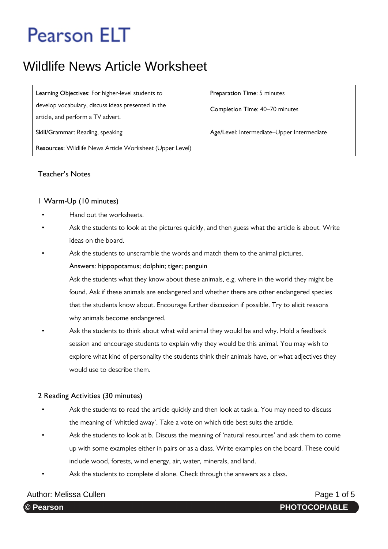## Wildlife News Article Worksheet

**Learning Objectives**: For higher-level students to **Preparation Time**: 5 minutes develop vocabulary, discuss ideas presented in the article, and perform a TV advert. **Skill/Grammar: Reading, speaking <b>Age/Level:** Intermediate–Upper Intermediate **Resources**: Wildlife News Article Worksheet (Upper Level)

**Completion Time**: 40–70 minutes

### **Teacher's Notes**

### **1 Warm-Up (10 minutes)**

- Hand out the worksheets.
- Ask the students to look at the pictures quickly, and then guess what the article is about. Write ideas on the board.
- Ask the students to unscramble the words and match them to the animal pictures.

#### **Answers: hippopotamus; dolphin; tiger; penguin**

 Ask the students what they know about these animals, e.g. where in the world they might be found. Ask if these animals are endangered and whether there are other endangered species that the students know about. Encourage further discussion if possible. Try to elicit reasons why animals become endangered.

• Ask the students to think about what wild animal they would be and why. Hold a feedback session and encourage students to explain why they would be this animal. You may wish to explore what kind of personality the students think their animals have, or what adjectives they would use to describe them.

### **2 Reading Activities (30 minutes)**

- Ask the students to read the article quickly and then look at task **a**. You may need to discuss the meaning of 'whittled away'. Take a vote on which title best suits the article.
- Ask the students to look at **b**. Discuss the meaning of 'natural resources' and ask them to come up with some examples either in pairs or as a class. Write examples on the board. These could include wood, forests, wind energy, air, water, minerals, and land.
- Ask the students to complete d alone. Check through the answers as a class.

### Author: Melissa Cullen **Page 1 of 5** Author: Melissa Cullen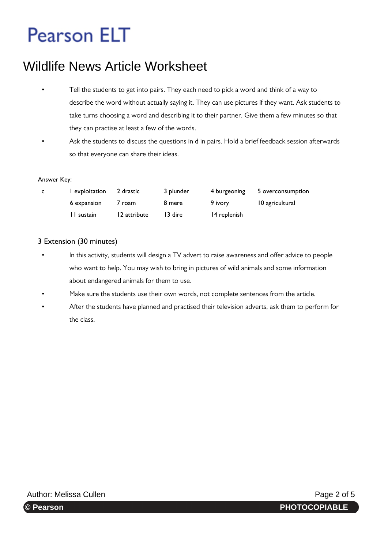## Wildlife News Article Worksheet

- Tell the students to get into pairs. They each need to pick a word and think of a way to describe the word without actually saying it. They can use pictures if they want. Ask students to take turns choosing a word and describing it to their partner. Give them a few minutes so that they can practise at least a few of the words.
- Ask the students to discuss the questions in **d** in pairs. Hold a brief feedback session afterwards so that everyone can share their ideas.

#### **Answer Key:**

| C | l exploitation | 2 drastic    | 3 plunder | 4 burgeoning | 5 overconsumption |
|---|----------------|--------------|-----------|--------------|-------------------|
|   | 6 expansion    | 7 roam       | 8 mere    | 9 ivory      | 10 agricultural   |
|   | II sustain     | 12 attribute | 13 dire   | 14 replenish |                   |

### **3 Extension (30 minutes)**

- In this activity, students will design a TV advert to raise awareness and offer advice to people who want to help. You may wish to bring in pictures of wild animals and some information about endangered animals for them to use.
- Make sure the students use their own words, not complete sentences from the article.
- After the students have planned and practised their television adverts, ask them to perform for the class.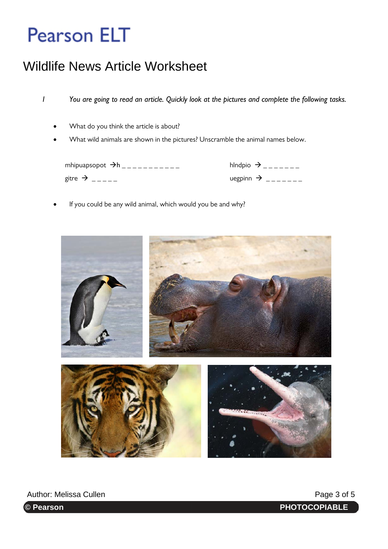## Wildlife News Article Worksheet

*1 You are going to read an article. Quickly look at the pictures and complete the following tasks.* 

- What do you think the article is about?
- What wild animals are shown in the pictures? Unscramble the animal names below.

mhipuapsopot  $\rightarrow$ h<sub>\_\_\_\_\_\_\_\_\_\_\_\_</sub> gitre  $\rightarrow$  \_\_\_\_\_

| hIndpio $\rightarrow$ |  |
|-----------------------|--|
| uegpinn $\rightarrow$ |  |

If you could be any wild animal, which would you be and why?



**PHOTOCOPIABLE**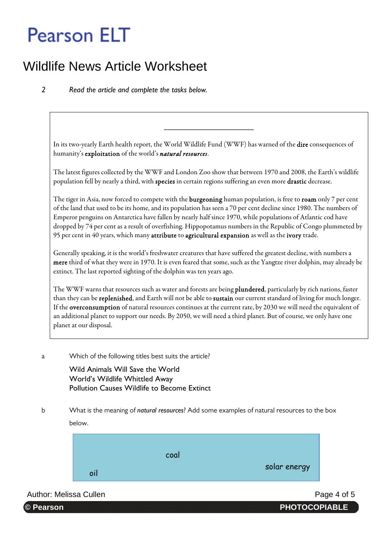## Wildlife News Article Worksheet

*2 Read the article and complete the tasks below.* 

In its two-yearly Earth health report, the World Wildlife Fund (WWF) has warned of the dire consequences of humanity's exploitation of the world's natural resources.

\_\_\_\_\_\_\_\_\_\_\_\_\_\_\_\_\_\_\_\_\_\_\_\_

The latest figures collected by the WWF and London Zoo show that between 1970 and 2008, the Earth's wildlife population fell by nearly a third, with species in certain regions suffering an even more drastic decrease.

The tiger in Asia, now forced to compete with the **burgeoning** human population, is free to **roam** only 7 per cent of the land that used to be its home, and its population has seen a 70 per cent decline since 1980. The numbers of Emperor penguins on Antarctica have fallen by nearly half since 1970, while populations of Atlantic cod have dropped by 74 per cent as a result of overfishing. Hippopotamus numbers in the Republic of Congo plummeted by 95 per cent in 40 years, which many attribute to agricultural expansion as well as the ivory trade.

Generally speaking, it is the world's freshwater creatures that have suffered the greatest decline, with numbers a mere third of what they were in 1970. It is even feared that some, such as the Yangtze river dolphin, may already be extinct. The last reported sighting of the dolphin was ten years ago.

The WWF warns that resources such as water and forests are being plundered, particularly by rich nations, faster than they can be replenished, and Earth will not be able to sustain our current standard of living for much longer. If the overconsumption of natural resources continues at the current rate, by 2030 we will need the equivalent of an additional planet to support our needs. By 2050, we will need a third planet. But of course, we only have one planet at our disposal.

a Which of the following titles best suits the article?

**Wild Animals Will Save the World World's Wildlife Whittled Away Pollution Causes Wildlife to Become Extinct** 

b What is the meaning of *natural resources*? Add some examples of natural resources to the box below.



Author: Melissa Cullen **Page 4 of 5** Author: Melissa Cullen

**PHOTOCOPIABLE** 

© Pearson